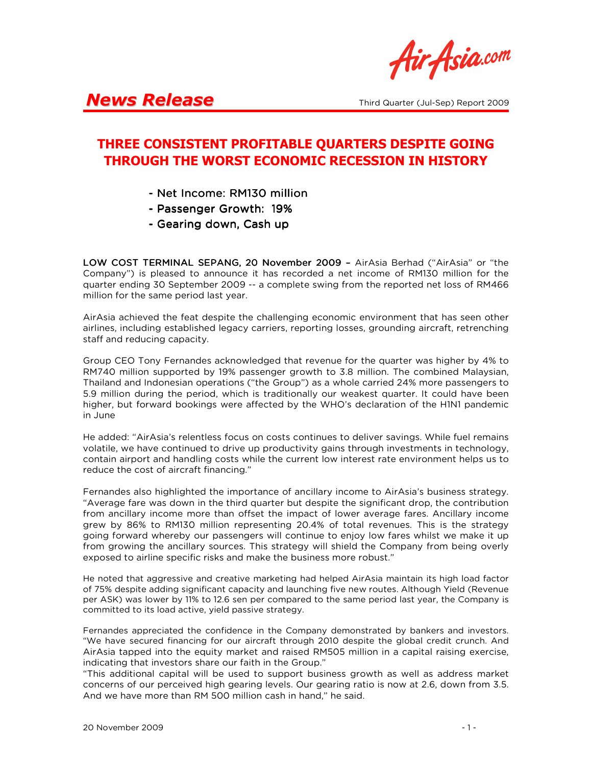Air Asia.com

## THREE CONSISTENT PROFITABLE QUARTERS DESPITE GOING THROUGH THE WORST ECONOMIC RECESSION IN HISTORY

- Net Income: RM130 million
- Passenger Growth: 19%
- Gearing down, Cash up

LOW COST TERMINAL SEPANG, 20 November 2009 - AirAsia Berhad ("AirAsia" or "the Company") is pleased to announce it has recorded a net income of RM130 million for the quarter ending 30 September 2009 -- a complete swing from the reported net loss of RM466 million for the same period last year.

AirAsia achieved the feat despite the challenging economic environment that has seen other airlines, including established legacy carriers, reporting losses, grounding aircraft, retrenching staff and reducing capacity.

Group CEO Tony Fernandes acknowledged that revenue for the quarter was higher by 4% to RM740 million supported by 19% passenger growth to 3.8 million. The combined Malaysian, Thailand and Indonesian operations ("the Group") as a whole carried 24% more passengers to 5.9 million during the period, which is traditionally our weakest quarter. It could have been higher, but forward bookings were affected by the WHO's declaration of the H1N1 pandemic in June

He added: "AirAsia's relentless focus on costs continues to deliver savings. While fuel remains volatile, we have continued to drive up productivity gains through investments in technology, contain airport and handling costs while the current low interest rate environment helps us to reduce the cost of aircraft financing."

Fernandes also highlighted the importance of ancillary income to AirAsia's business strategy. "Average fare was down in the third quarter but despite the significant drop, the contribution from ancillary income more than offset the impact of lower average fares. Ancillary income grew by 86% to RM130 million representing 20.4% of total revenues. This is the strategy going forward whereby our passengers will continue to enjoy low fares whilst we make it up from growing the ancillary sources. This strategy will shield the Company from being overly exposed to airline specific risks and make the business more robust."

He noted that aggressive and creative marketing had helped AirAsia maintain its high load factor of 75% despite adding significant capacity and launching five new routes. Although Yield (Revenue per ASK) was lower by 11% to 12.6 sen per compared to the same period last year, the Company is committed to its load active, yield passive strategy.

Fernandes appreciated the confidence in the Company demonstrated by bankers and investors. ''We have secured financing for our aircraft through 2010 despite the global credit crunch. And AirAsia tapped into the equity market and raised RM505 million in a capital raising exercise, indicating that investors share our faith in the Group."

"This additional capital will be used to support business growth as well as address market concerns of our perceived high gearing levels. Our gearing ratio is now at 2.6, down from 3.5. And we have more than RM 500 million cash in hand," he said.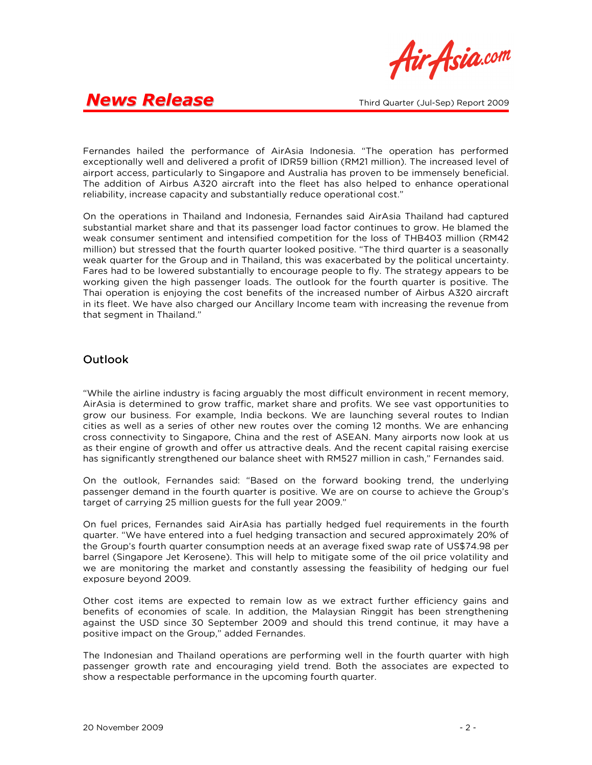

**News Release** Third Quarter (Jul-Sep) Report 2009

Fernandes hailed the performance of AirAsia Indonesia. "The operation has performed exceptionally well and delivered a profit of IDR59 billion (RM21 million). The increased level of airport access, particularly to Singapore and Australia has proven to be immensely beneficial. The addition of Airbus A320 aircraft into the fleet has also helped to enhance operational reliability, increase capacity and substantially reduce operational cost."

On the operations in Thailand and Indonesia, Fernandes said AirAsia Thailand had captured substantial market share and that its passenger load factor continues to grow. He blamed the weak consumer sentiment and intensified competition for the loss of THB403 million (RM42 million) but stressed that the fourth quarter looked positive. "The third quarter is a seasonally weak quarter for the Group and in Thailand, this was exacerbated by the political uncertainty. Fares had to be lowered substantially to encourage people to fly. The strategy appears to be working given the high passenger loads. The outlook for the fourth quarter is positive. The Thai operation is enjoying the cost benefits of the increased number of Airbus A320 aircraft in its fleet. We have also charged our Ancillary Income team with increasing the revenue from that segment in Thailand."

## **Outlook**

"While the airline industry is facing arguably the most difficult environment in recent memory, AirAsia is determined to grow traffic, market share and profits. We see vast opportunities to grow our business. For example, India beckons. We are launching several routes to Indian cities as well as a series of other new routes over the coming 12 months. We are enhancing cross connectivity to Singapore, China and the rest of ASEAN. Many airports now look at us as their engine of growth and offer us attractive deals. And the recent capital raising exercise has significantly strengthened our balance sheet with RM527 million in cash," Fernandes said.

On the outlook, Fernandes said: "Based on the forward booking trend, the underlying passenger demand in the fourth quarter is positive. We are on course to achieve the Group's target of carrying 25 million guests for the full year 2009."

On fuel prices, Fernandes said AirAsia has partially hedged fuel requirements in the fourth quarter. "We have entered into a fuel hedging transaction and secured approximately 20% of the Group's fourth quarter consumption needs at an average fixed swap rate of US\$74.98 per barrel (Singapore Jet Kerosene). This will help to mitigate some of the oil price volatility and we are monitoring the market and constantly assessing the feasibility of hedging our fuel exposure beyond 2009.

Other cost items are expected to remain low as we extract further efficiency gains and benefits of economies of scale. In addition, the Malaysian Ringgit has been strengthening against the USD since 30 September 2009 and should this trend continue, it may have a positive impact on the Group," added Fernandes.

The Indonesian and Thailand operations are performing well in the fourth quarter with high passenger growth rate and encouraging yield trend. Both the associates are expected to show a respectable performance in the upcoming fourth quarter.